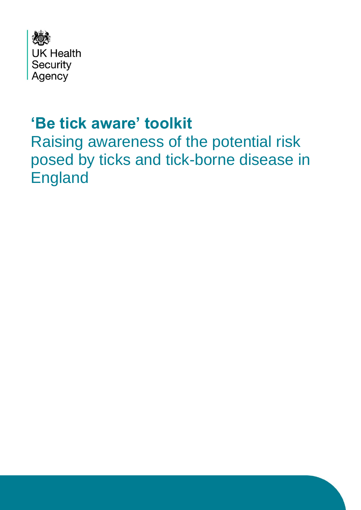

## **'Be tick aware' toolkit**

Raising awareness of the potential risk posed by ticks and tick-borne disease in England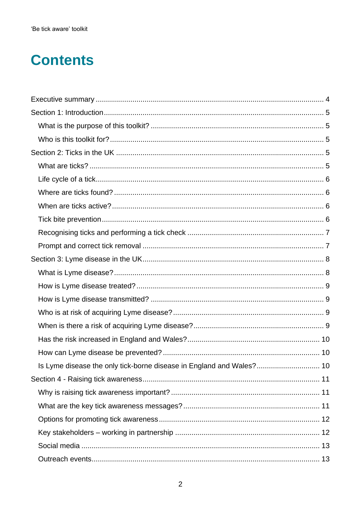## **Contents**

| Is Lyme disease the only tick-borne disease in England and Wales? 10 |  |
|----------------------------------------------------------------------|--|
|                                                                      |  |
|                                                                      |  |
|                                                                      |  |
|                                                                      |  |
|                                                                      |  |
|                                                                      |  |
|                                                                      |  |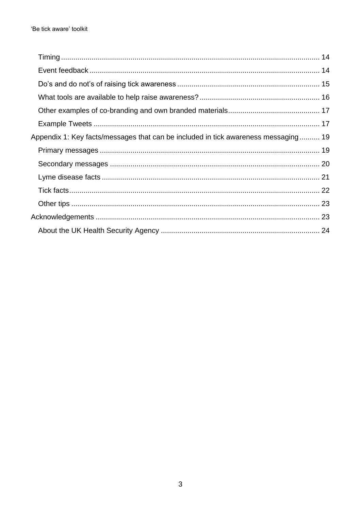| Appendix 1: Key facts/messages that can be included in tick awareness messaging 19 |  |
|------------------------------------------------------------------------------------|--|
|                                                                                    |  |
|                                                                                    |  |
|                                                                                    |  |
|                                                                                    |  |
|                                                                                    |  |
|                                                                                    |  |
|                                                                                    |  |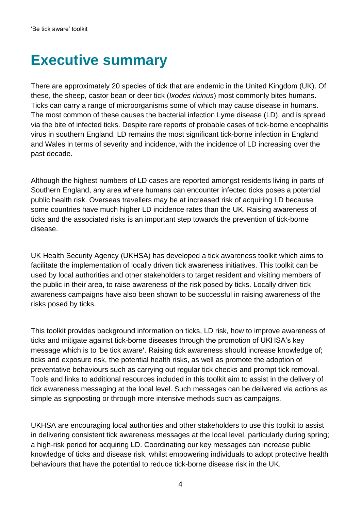## <span id="page-3-0"></span>**Executive summary**

There are approximately 20 species of tick that are endemic in the United Kingdom (UK). Of these, the sheep, castor bean or deer tick (*Ixodes ricinus*) most commonly bites humans. Ticks can carry a range of microorganisms some of which may cause disease in humans. The most common of these causes the bacterial infection Lyme disease (LD), and is spread via the bite of infected ticks. Despite rare reports of probable cases of tick-borne encephalitis virus in southern England, LD remains the most significant tick-borne infection in England and Wales in terms of severity and incidence, with the incidence of LD increasing over the past decade.

Although the highest numbers of LD cases are reported amongst residents living in parts of Southern England, any area where humans can encounter infected ticks poses a potential public health risk. Overseas travellers may be at increased risk of acquiring LD because some countries have much higher LD incidence rates than the UK. Raising awareness of ticks and the associated risks is an important step towards the prevention of tick-borne disease.

UK Health Security Agency (UKHSA) has developed a tick awareness toolkit which aims to facilitate the implementation of locally driven tick awareness initiatives. This toolkit can be used by local authorities and other stakeholders to target resident and visiting members of the public in their area, to raise awareness of the risk posed by ticks. Locally driven tick awareness campaigns have also been shown to be successful in raising awareness of the risks posed by ticks.

This toolkit provides background information on ticks, LD risk, how to improve awareness of ticks and mitigate against tick-borne diseases through the promotion of UKHSA's key message which is to 'be tick aware**'**. Raising tick awareness should increase knowledge of; ticks and exposure risk, the potential health risks, as well as promote the adoption of preventative behaviours such as carrying out regular tick checks and prompt tick removal. Tools and links to additional resources included in this toolkit aim to assist in the delivery of tick awareness messaging at the local level. Such messages can be delivered via actions as simple as signposting or through more intensive methods such as campaigns.

UKHSA are encouraging local authorities and other stakeholders to use this toolkit to assist in delivering consistent tick awareness messages at the local level, particularly during spring; a high-risk period for acquiring LD. Coordinating our key messages can increase public knowledge of ticks and disease risk, whilst empowering individuals to adopt protective health behaviours that have the potential to reduce tick-borne disease risk in the UK.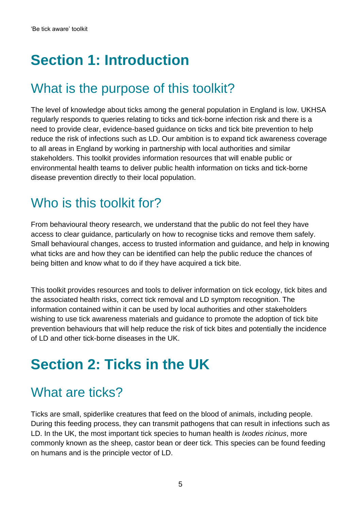# <span id="page-4-0"></span>**Section 1: Introduction**

### <span id="page-4-1"></span>What is the purpose of this toolkit?

The level of knowledge about ticks among the general population in England is low. UKHSA regularly responds to queries relating to ticks and tick-borne infection risk and there is a need to provide clear, evidence-based guidance on ticks and tick bite prevention to help reduce the risk of infections such as LD. Our ambition is to expand tick awareness coverage to all areas in England by working in partnership with local authorities and similar stakeholders. This toolkit provides information resources that will enable public or environmental health teams to deliver public health information on ticks and tick-borne disease prevention directly to their local population.

### <span id="page-4-2"></span>Who is this toolkit for?

From behavioural theory research, we understand that the public do not feel they have access to clear guidance, particularly on how to recognise ticks and remove them safely. Small behavioural changes, access to trusted information and guidance, and help in knowing what ticks are and how they can be identified can help the public reduce the chances of being bitten and know what to do if they have acquired a tick bite.

This toolkit provides resources and tools to deliver information on tick ecology, tick bites and the associated health risks, correct tick removal and LD symptom recognition. The information contained within it can be used by local authorities and other stakeholders wishing to use tick awareness materials and guidance to promote the adoption of tick bite prevention behaviours that will help reduce the risk of tick bites and potentially the incidence of LD and other tick-borne diseases in the UK.

# <span id="page-4-3"></span>**Section 2: Ticks in the UK**

### <span id="page-4-4"></span>What are ticks?

Ticks are small, spiderlike creatures that feed on the blood of animals, including people. During this feeding process, they can transmit pathogens that can result in infections such as LD. In the UK, the most important tick species to human health is *Ixodes ricinus*, more commonly known as the sheep, castor bean or deer tick. This species can be found feeding on humans and is the principle vector of LD.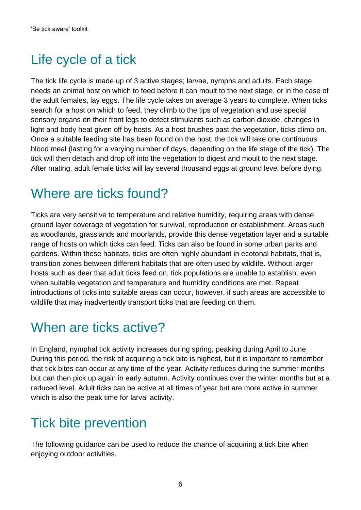## <span id="page-5-0"></span>Life cycle of a tick

The tick life cycle is made up of 3 active stages; larvae, nymphs and adults. Each stage needs an animal host on which to feed before it can moult to the next stage, or in the case of the adult females, lay eggs. The life cycle takes on average 3 years to complete. When ticks search for a host on which to feed, they climb to the tips of vegetation and use special sensory organs on their front legs to detect stimulants such as carbon dioxide, changes in light and body heat given off by hosts. As a host brushes past the vegetation, ticks climb on. Once a suitable feeding site has been found on the host, the tick will take one continuous blood meal (lasting for a varying number of days, depending on the life stage of the tick). The tick will then detach and drop off into the vegetation to digest and moult to the next stage. After mating, adult female ticks will lay several thousand eggs at ground level before dying.

#### <span id="page-5-1"></span>Where are ticks found?

Ticks are very sensitive to temperature and relative humidity, requiring areas with dense ground layer coverage of vegetation for survival, reproduction or establishment. Areas such as woodlands, grasslands and moorlands, provide this dense vegetation layer and a suitable range of hosts on which ticks can feed. Ticks can also be found in some urban parks and gardens. Within these habitats, ticks are often highly abundant in ecotonal habitats, that is, transition zones between different habitats that are often used by wildlife. Without larger hosts such as deer that adult ticks feed on, tick populations are unable to establish, even when suitable vegetation and temperature and humidity conditions are met. Repeat introductions of ticks into suitable areas can occur, however, if such areas are accessible to wildlife that may inadvertently transport ticks that are feeding on them.

### <span id="page-5-2"></span>When are ticks active?

In England, nymphal tick activity increases during spring, peaking during April to June. During this period, the risk of acquiring a tick bite is highest, but it is important to remember that tick bites can occur at any time of the year. Activity reduces during the summer months but can then pick up again in early autumn. Activity continues over the winter months but at a reduced level. Adult ticks can be active at all times of year but are more active in summer which is also the peak time for larval activity.

### <span id="page-5-3"></span>Tick bite prevention

The following guidance can be used to reduce the chance of acquiring a tick bite when enjoying outdoor activities.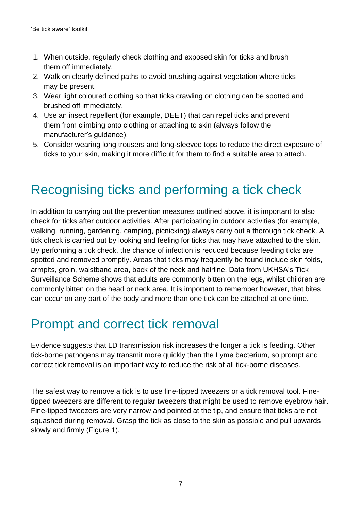- 1. When outside, regularly check clothing and exposed skin for ticks and brush them off immediately.
- 2. Walk on clearly defined paths to avoid brushing against vegetation where ticks may be present.
- 3. Wear light coloured clothing so that ticks crawling on clothing can be spotted and brushed off immediately.
- 4. Use an insect repellent (for example, DEET) that can repel ticks and prevent them from climbing onto clothing or attaching to skin (always follow the manufacturer's guidance).
- 5. Consider wearing long trousers and long-sleeved tops to reduce the direct exposure of ticks to your skin, making it more difficult for them to find a suitable area to attach.

## <span id="page-6-0"></span>Recognising ticks and performing a tick check

In addition to carrying out the prevention measures outlined above, it is important to also check for ticks after outdoor activities. After participating in outdoor activities (for example, walking, running, gardening, camping, picnicking) always carry out a thorough tick check. A tick check is carried out by looking and feeling for ticks that may have attached to the skin. By performing a tick check, the chance of infection is reduced because feeding ticks are spotted and removed promptly. Areas that ticks may frequently be found include skin folds, armpits, groin, waistband area, back of the neck and hairline. Data from UKHSA's Tick Surveillance Scheme shows that adults are commonly bitten on the legs, whilst children are commonly bitten on the head or neck area. It is important to remember however, that bites can occur on any part of the body and more than one tick can be attached at one time.

#### <span id="page-6-1"></span>Prompt and correct tick removal

Evidence suggests that LD transmission risk increases the longer a tick is feeding. Other tick-borne pathogens may transmit more quickly than the Lyme bacterium, so prompt and correct tick removal is an important way to reduce the risk of all tick-borne diseases.

The safest way to remove a tick is to use fine-tipped tweezers or a tick removal tool. Finetipped tweezers are different to regular tweezers that might be used to remove eyebrow hair. Fine-tipped tweezers are very narrow and pointed at the tip, and ensure that ticks are not squashed during removal. Grasp the tick as close to the skin as possible and pull upwards slowly and firmly (Figure 1).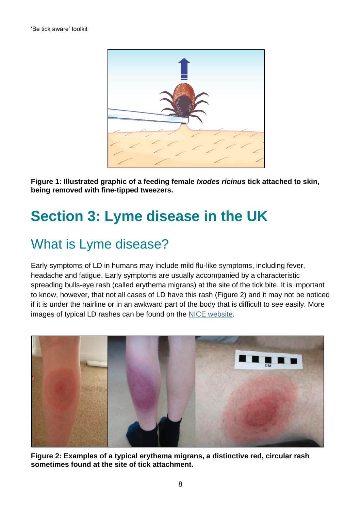

**Figure 1: Illustrated graphic of a feeding female** *Ixodes ricinus* **tick attached to skin, being removed with fine-tipped tweezers.**

# <span id="page-7-0"></span>**Section 3: Lyme disease in the UK**

### <span id="page-7-1"></span>What is Lyme disease?

Early symptoms of LD in humans may include mild flu-like symptoms, including fever, headache and fatigue. Early symptoms are usually accompanied by a characteristic spreading bulls-eye rash (called erythema migrans) at the site of the tick bite. It is important to know, however, that not all cases of LD have this rash (Figure 2) and it may not be noticed if it is under the hairline or in an awkward part of the body that is difficult to see easily. More images of typical LD rashes can be found on the [NICE website.](https://www.nice.org.uk/guidance/ng95/resources/lyme-disease-rash-images-pdf-4792273597)



**Figure 2: Examples of a typical erythema migrans, a distinctive red, circular rash sometimes found at the site of tick attachment.**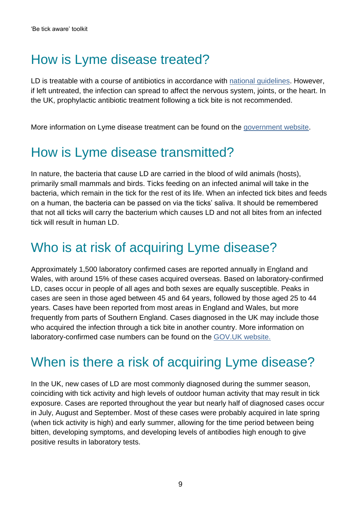### <span id="page-8-0"></span>How is Lyme disease treated?

LD is treatable with a course of antibiotics in accordance with [national guidelines.](https://www.nice.org.uk/guidance/ng95) However, if left untreated, the infection can spread to affect the nervous system, joints, or the heart. In the UK, prophylactic antibiotic treatment following a tick bite is not recommended.

More information on Lyme disease treatment can be found on the [government website.](http://www.gov.uk/government/collections/lyme-disease-guidance-data-and-analysis)

#### <span id="page-8-1"></span>How is Lyme disease transmitted?

In nature, the bacteria that cause LD are carried in the blood of wild animals (hosts), primarily small mammals and birds. Ticks feeding on an infected animal will take in the bacteria, which remain in the tick for the rest of its life. When an infected tick bites and feeds on a human, the bacteria can be passed on via the ticks' saliva. It should be remembered that not all ticks will carry the bacterium which causes LD and not all bites from an infected tick will result in human LD.

#### <span id="page-8-2"></span>Who is at risk of acquiring Lyme disease?

Approximately 1,500 laboratory confirmed cases are reported annually in England and Wales, with around 15% of these cases acquired overseas. Based on laboratory-confirmed LD, cases occur in people of all ages and both sexes are equally susceptible. Peaks in cases are seen in those aged between 45 and 64 years, followed by those aged 25 to 44 years. Cases have been reported from most areas in England and Wales, but more frequently from parts of Southern England. Cases diagnosed in the UK may include those who acquired the infection through a tick bite in another country. More information on laboratory-confirmed case numbers can be found on the [GOV.UK](https://www.gov.uk/government/publications/lyme-borreliosis-epidemiology/lyme-borreliosis-epidemiology-and-surveillance) website.

### <span id="page-8-3"></span>When is there a risk of acquiring Lyme disease?

In the UK, new cases of LD are most commonly diagnosed during the summer season, coinciding with tick activity and high levels of outdoor human activity that may result in tick exposure. Cases are reported throughout the year but nearly half of diagnosed cases occur in July, August and September. Most of these cases were probably acquired in late spring (when tick activity is high) and early summer, allowing for the time period between being bitten, developing symptoms, and developing levels of antibodies high enough to give positive results in laboratory tests.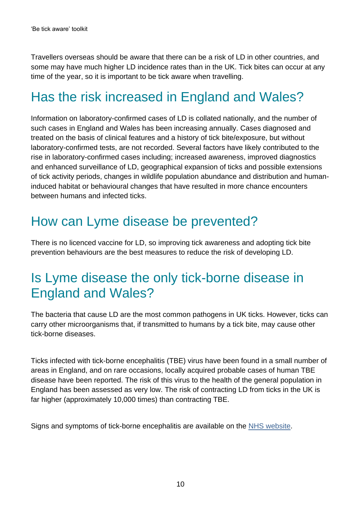Travellers overseas should be aware that there can be a risk of LD in other countries, and some may have much higher LD incidence rates than in the UK. Tick bites can occur at any time of the year, so it is important to be tick aware when travelling.

## <span id="page-9-0"></span>Has the risk increased in England and Wales?

Information on laboratory-confirmed cases of LD is collated nationally, and the number of such cases in England and Wales has been increasing annually. Cases diagnosed and treated on the basis of clinical features and a history of tick bite/exposure, but without laboratory-confirmed tests, are not recorded. Several factors have likely contributed to the rise in laboratory-confirmed cases including; increased awareness, improved diagnostics and enhanced surveillance of LD, geographical expansion of ticks and possible extensions of tick activity periods, changes in wildlife population abundance and distribution and humaninduced habitat or behavioural changes that have resulted in more chance encounters between humans and infected ticks.

#### <span id="page-9-1"></span>How can Lyme disease be prevented?

There is no licenced vaccine for LD, so improving tick awareness and adopting tick bite prevention behaviours are the best measures to reduce the risk of developing LD.

#### <span id="page-9-2"></span>Is Lyme disease the only tick-borne disease in England and Wales?

The bacteria that cause LD are the most common pathogens in UK ticks. However, ticks can carry other microorganisms that, if transmitted to humans by a tick bite, may cause other tick-borne diseases.

Ticks infected with tick-borne encephalitis (TBE) virus have been found in a small number of areas in England, and on rare occasions, locally acquired probable cases of human TBE disease have been reported. The risk of this virus to the health of the general population in England has been assessed as very low. The risk of contracting LD from ticks in the UK is far higher (approximately 10,000 times) than contracting TBE.

Signs and symptoms of tick-borne encephalitis are available on the [NHS website.](https://www.nhs.uk/conditions/tick-borne-encephalitis/)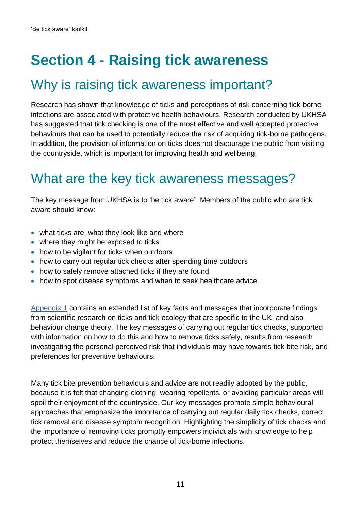# <span id="page-10-0"></span>**Section 4 - Raising tick awareness**

#### <span id="page-10-1"></span>Why is raising tick awareness important?

Research has shown that knowledge of ticks and perceptions of risk concerning tick-borne infections are associated with protective health behaviours. Research conducted by UKHSA has suggested that tick checking is one of the most effective and well accepted protective behaviours that can be used to potentially reduce the risk of acquiring tick-borne pathogens. In addition, the provision of information on ticks does not discourage the public from visiting the countryside, which is important for improving health and wellbeing.

#### <span id="page-10-2"></span>What are the key tick awareness messages?

The key message from UKHSA is to 'be tick aware**'**. Members of the public who are tick aware should know:

- what ticks are, what they look like and where
- where they might be exposed to ticks
- how to be vigilant for ticks when outdoors
- how to carry out regular tick checks after spending time outdoors
- how to safely remove attached ticks if they are found
- how to spot disease symptoms and when to seek healthcare advice

[Appendix 1](#page-18-0) contains an extended list of key facts and messages that incorporate findings from scientific research on ticks and tick ecology that are specific to the UK, and also behaviour change theory. The key messages of carrying out regular tick checks, supported with information on how to do this and how to remove ticks safely, results from research investigating the personal perceived risk that individuals may have towards tick bite risk, and preferences for preventive behaviours.

Many tick bite prevention behaviours and advice are not readily adopted by the public, because it is felt that changing clothing, wearing repellents, or avoiding particular areas will spoil their enjoyment of the countryside. Our key messages promote simple behavioural approaches that emphasize the importance of carrying out regular daily tick checks, correct tick removal and disease symptom recognition. Highlighting the simplicity of tick checks and the importance of removing ticks promptly empowers individuals with knowledge to help protect themselves and reduce the chance of tick-borne infections.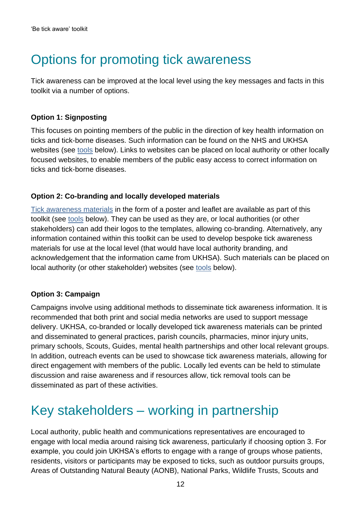### <span id="page-11-0"></span>Options for promoting tick awareness

Tick awareness can be improved at the local level using the key messages and facts in this toolkit via a number of options.

#### **Option 1: Signposting**

This focuses on pointing members of the public in the direction of key health information on ticks and tick-borne diseases. Such information can be found on the NHS and UKHSA websites (see [tools](#page-15-0) below). Links to websites can be placed on local authority or other locally focused websites, to enable members of the public easy access to correct information on ticks and tick-borne diseases.

#### **Option 2: Co-branding and locally developed materials**

[Tick awareness materials](https://www.gov.uk/government/publications/tick-bite-risks-and-prevention-of-lyme-disease) in the form of a poster and leaflet are available as part of this toolkit (see [tools](#page-15-0) below). They can be used as they are, or local authorities (or other stakeholders) can add their logos to the templates, allowing co-branding. Alternatively, any information contained within this toolkit can be used to develop bespoke tick awareness materials for use at the local level (that would have local authority branding, and acknowledgement that the information came from UKHSA). Such materials can be placed on local authority (or other stakeholder) websites (see [tools](#page-15-0) below).

#### **Option 3: Campaign**

Campaigns involve using additional methods to disseminate tick awareness information. It is recommended that both print and social media networks are used to support message delivery. UKHSA, co-branded or locally developed tick awareness materials can be printed and disseminated to general practices, parish councils, pharmacies, minor injury units, primary schools, Scouts, Guides, mental health partnerships and other local relevant groups. In addition, outreach events can be used to showcase tick awareness materials, allowing for direct engagement with members of the public. Locally led events can be held to stimulate discussion and raise awareness and if resources allow, tick removal tools can be disseminated as part of these activities.

#### <span id="page-11-1"></span>Key stakeholders – working in partnership

Local authority, public health and communications representatives are encouraged to engage with local media around raising tick awareness, particularly if choosing option 3. For example, you could join UKHSA's efforts to engage with a range of groups whose patients, residents, visitors or participants may be exposed to ticks, such as outdoor pursuits groups, Areas of Outstanding Natural Beauty (AONB), National Parks, Wildlife Trusts, Scouts and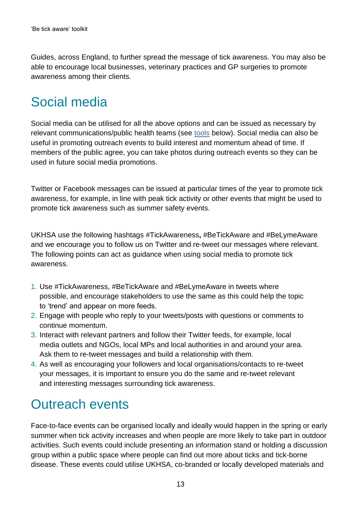Guides, across England, to further spread the message of tick awareness. You may also be able to encourage local businesses, veterinary practices and GP surgeries to promote awareness among their clients.

#### <span id="page-12-0"></span>Social media

Social media can be utilised for all the above options and can be issued as necessary by relevant communications/public health teams (see [tools](#page-15-0) below). Social media can also be useful in promoting outreach events to build interest and momentum ahead of time. If members of the public agree, you can take photos during outreach events so they can be used in future social media promotions.

Twitter or Facebook messages can be issued at particular times of the year to promote tick awareness, for example, in line with peak tick activity or other events that might be used to promote tick awareness such as summer safety events.

UKHSA use the following hashtags #TickAwareness**,** #BeTickAware and #BeLymeAware and we encourage you to follow us on Twitter and re-tweet our messages where relevant. The following points can act as guidance when using social media to promote tick awareness.

- 1. Use #TickAwareness, #BeTickAware and #BeLymeAware in tweets where possible, and encourage stakeholders to use the same as this could help the topic to 'trend' and appear on more feeds.
- 2. Engage with people who reply to your tweets/posts with questions or comments to continue momentum.
- 3. Interact with relevant partners and follow their Twitter feeds, for example, local media outlets and NGOs, local MPs and local authorities in and around your area. Ask them to re-tweet messages and build a relationship with them.
- 4. As well as encouraging your followers and local organisations/contacts to re-tweet your messages, it is important to ensure you do the same and re-tweet relevant and interesting messages surrounding tick awareness.

### <span id="page-12-1"></span>Outreach events

Face-to-face events can be organised locally and ideally would happen in the spring or early summer when tick activity increases and when people are more likely to take part in outdoor activities. Such events could include presenting an information stand or holding a discussion group within a public space where people can find out more about ticks and tick-borne disease. These events could utilise UKHSA, co-branded or locally developed materials and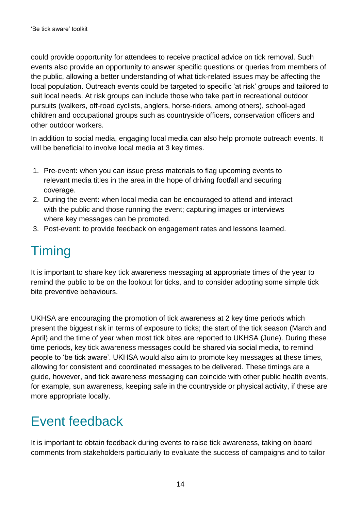could provide opportunity for attendees to receive practical advice on tick removal. Such events also provide an opportunity to answer specific questions or queries from members of the public, allowing a better understanding of what tick-related issues may be affecting the local population. Outreach events could be targeted to specific 'at risk' groups and tailored to suit local needs. At risk groups can include those who take part in recreational outdoor pursuits (walkers, off-road cyclists, anglers, horse-riders, among others), school-aged children and occupational groups such as countryside officers, conservation officers and other outdoor workers.

In addition to social media, engaging local media can also help promote outreach events. It will be beneficial to involve local media at 3 key times.

- 1. Pre-event**:** when you can issue press materials to flag upcoming events to relevant media titles in the area in the hope of driving footfall and securing coverage.
- 2. During the event**:** when local media can be encouraged to attend and interact with the public and those running the event; capturing images or interviews where key messages can be promoted.
- 3. Post-event: to provide feedback on engagement rates and lessons learned.

## <span id="page-13-0"></span>**Timing**

It is important to share key tick awareness messaging at appropriate times of the year to remind the public to be on the lookout for ticks, and to consider adopting some simple tick bite preventive behaviours.

UKHSA are encouraging the promotion of tick awareness at 2 key time periods which present the biggest risk in terms of exposure to ticks; the start of the tick season (March and April) and the time of year when most tick bites are reported to UKHSA (June). During these time periods, key tick awareness messages could be shared via social media, to remind people to 'be tick aware'. UKHSA would also aim to promote key messages at these times, allowing for consistent and coordinated messages to be delivered. These timings are a guide, however, and tick awareness messaging can coincide with other public health events, for example, sun awareness, keeping safe in the countryside or physical activity, if these are more appropriate locally.

### <span id="page-13-1"></span>Event feedback

It is important to obtain feedback during events to raise tick awareness, taking on board comments from stakeholders particularly to evaluate the success of campaigns and to tailor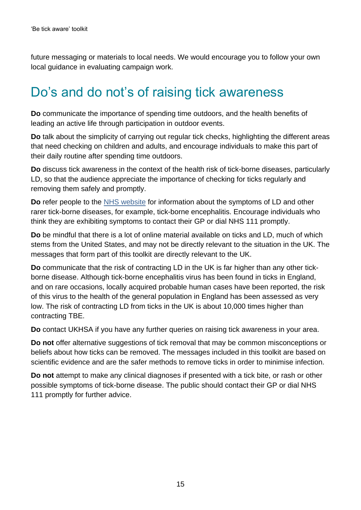future messaging or materials to local needs. We would encourage you to follow your own local guidance in evaluating campaign work.

#### <span id="page-14-0"></span>Do's and do not's of raising tick awareness

**Do** communicate the importance of spending time outdoors, and the health benefits of leading an active life through participation in outdoor events.

**Do** talk about the simplicity of carrying out regular tick checks, highlighting the different areas that need checking on children and adults, and encourage individuals to make this part of their daily routine after spending time outdoors.

**Do** discuss tick awareness in the context of the health risk of tick-borne diseases, particularly LD, so that the audience appreciate the importance of checking for ticks regularly and removing them safely and promptly.

**Do** refer people to the [NHS website](http://www.nhs.uk/) for information about the symptoms of LD and other rarer tick-borne diseases, for example, tick-borne encephalitis. Encourage individuals who think they are exhibiting symptoms to contact their GP or dial NHS 111 promptly.

**Do** be mindful that there is a lot of online material available on ticks and LD, much of which stems from the United States, and may not be directly relevant to the situation in the UK. The messages that form part of this toolkit are directly relevant to the UK.

**Do** communicate that the risk of contracting LD in the UK is far higher than any other tickborne disease. Although tick-borne encephalitis virus has been found in ticks in England, and on rare occasions, locally acquired probable human cases have been reported, the risk of this virus to the health of the general population in England has been assessed as very low. The risk of contracting LD from ticks in the UK is about 10,000 times higher than contracting TBE.

**Do** contact UKHSA if you have any further queries on raising tick awareness in your area.

**Do not** offer alternative suggestions of tick removal that may be common misconceptions or beliefs about how ticks can be removed. The messages included in this toolkit are based on scientific evidence and are the safer methods to remove ticks in order to minimise infection.

**Do not** attempt to make any clinical diagnoses if presented with a tick bite, or rash or other possible symptoms of tick-borne disease. The public should contact their GP or dial NHS 111 promptly for further advice.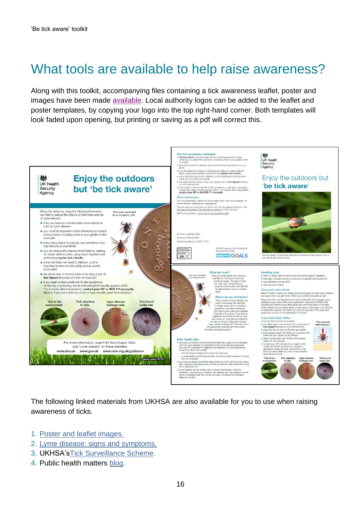### <span id="page-15-0"></span>What tools are available to help raise awareness?

Along with this toolkit, accompanying files containing a tick awareness leaflet, poster and images have been made [available.](https://www.gov.uk/government/publications/tick-bite-risks-and-prevention-of-lyme-disease) Local authority logos can be added to the leaflet and poster templates, by copying your logo into the top right-hand corner. Both templates will look faded upon opening, but printing or saving as a pdf will correct this.



The following linked materials from UKHSA are also available for you to use when raising awareness of ticks.

- 1. [Poster and leaflet images.](https://app.box.com/s/jygwbmlt7imqts2equhht5w6hrfklzcu)
- 2. [Lyme disease: signs and symptoms.](http://www.gov.uk/government/uploads/system/uploads/attachment_data/file/463701/LymeDisease_SignsAndSymptoms.pdf)
- 3. UKHSA'[sTick Surveillance Scheme.](https://www.gov.uk/guidance/tick-surveillance-scheme)
- 4. Public health matters [blog.](https://publichealthmatters.blog.gov.uk/2014/03/24/tips-and-tricks-to-stay-safe-from-ticks/)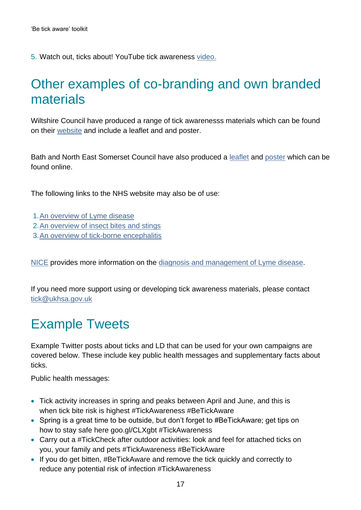5. Watch out, ticks about! YouTube tick awareness [video.](https://www.youtube.com/watch?v=HzR1eja6Wa8)

#### <span id="page-16-0"></span>Other examples of co-branding and own branded materials

Wiltshire Council have produced a range of tick awarenesss materials which can be found on their [website](http://www.wiltshire.gov.uk/public-health-tick-awareness) and include a leaflet and and poster.

Bath and North East Somerset Council have also produced a [leaflet](http://www.bathnes.gov.uk/sites/default/files/tick_aware_leaflet.pdf) and [poster](http://www.bathnes.gov.uk/sites/default/files/tick_aware_poster.pdf) which can be found online.

The following links to the NHS website may also be of use:

- 1[.An overview of Lyme disease](https://www.nhs.uk/conditions/lyme-disease/)
- 2[.An overview of insect bites and stings](https://www.nhs.uk/conditions/insect-bites-and-stings/symptoms/)
- 3[.An overview of tick-borne encephalitis](https://www.nhs.uk/conditions/tick-borne-encephalitis/)

[NICE](https://www.nice.org.uk/guidance/ng95) provides more information on the diagnosis and [management of Lyme disease.](https://www.nice.org.uk/guidance/ng95/resources/lyme-disease-rash-images-pdf-4792273597)

If you need more support using or developing tick awareness materials, please contact [tick@ukhsa.gov.uk](mailto:tick@ukhsa.gov.uk)

#### <span id="page-16-1"></span>Example Tweets

Example Twitter posts about ticks and LD that can be used for your own campaigns are covered below. These include key public health messages and supplementary facts about ticks.

Public health messages:

- Tick activity increases in spring and peaks between April and June, and this is when tick bite risk is highest #TickAwareness #BeTickAware
- Spring is a great time to be outside, but don't forget to #BeTickAware; get tips on how to stay safe here goo.gl/CLXgbt #TickAwareness
- Carry out a #TickCheck after outdoor activities: look and feel for attached ticks on you, your family and pets #TickAwareness #BeTickAware
- If you do get bitten, #BeTickAware and remove the tick quickly and correctly to reduce any potential risk of infection #TickAwareness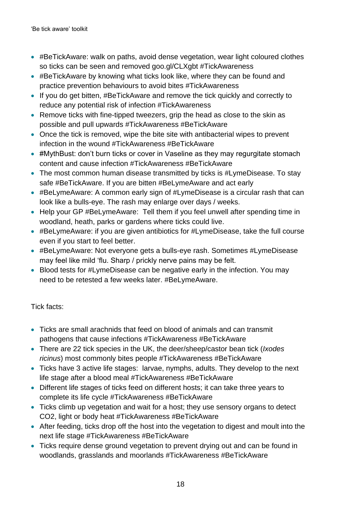- #BeTickAware: walk on paths, avoid dense vegetation, wear light coloured clothes so ticks can be seen and removed goo.gl/CLXgbt #TickAwareness
- #BeTickAware by knowing what ticks look like, where they can be found and practice prevention behaviours to avoid bites #TickAwareness
- If you do get bitten, #BeTickAware and remove the tick quickly and correctly to reduce any potential risk of infection #TickAwareness
- Remove ticks with fine-tipped tweezers, grip the head as close to the skin as possible and pull upwards #TickAwareness #BeTickAware
- Once the tick is removed, wipe the bite site with antibacterial wipes to prevent infection in the wound #TickAwareness #BeTickAware
- #MythBust: don't burn ticks or cover in Vaseline as they may regurgitate stomach content and cause infection #TickAwareness #BeTickAware
- The most common human disease transmitted by ticks is #LymeDisease. To stay safe #BeTickAware. If you are bitten #BeLymeAware and act early
- #BeLymeAware: A common early sign of #LymeDisease is a circular rash that can look like a bulls-eye. The rash may enlarge over days / weeks.
- Help your GP #BeLymeAware: Tell them if you feel unwell after spending time in woodland, heath, parks or gardens where ticks could live.
- #BeLymeAware: if you are given antibiotics for #LymeDisease, take the full course even if you start to feel better.
- #BeLymeAware: Not everyone gets a bulls-eye rash. Sometimes #LymeDisease may feel like mild 'flu. Sharp / prickly nerve pains may be felt.
- Blood tests for #LymeDisease can be negative early in the infection. You may need to be retested a few weeks later. #BeLymeAware.

#### Tick facts:

- Ticks are small arachnids that feed on blood of animals and can transmit pathogens that cause infections #TickAwareness #BeTickAware
- There are 22 tick species in the UK, the deer/sheep/castor bean tick (*Ixodes ricinus*) most commonly bites people #TickAwareness #BeTickAware
- Ticks have 3 active life stages: larvae, nymphs, adults. They develop to the next life stage after a blood meal #TickAwareness #BeTickAware
- Different life stages of ticks feed on different hosts; it can take three years to complete its life cycle #TickAwareness #BeTickAware
- Ticks climb up vegetation and wait for a host; they use sensory organs to detect CO2, light or body heat #TickAwareness #BeTickAware
- After feeding, ticks drop off the host into the vegetation to digest and moult into the next life stage #TickAwareness #BeTickAware
- Ticks require dense ground vegetation to prevent drying out and can be found in woodlands, grasslands and moorlands #TickAwareness #BeTickAware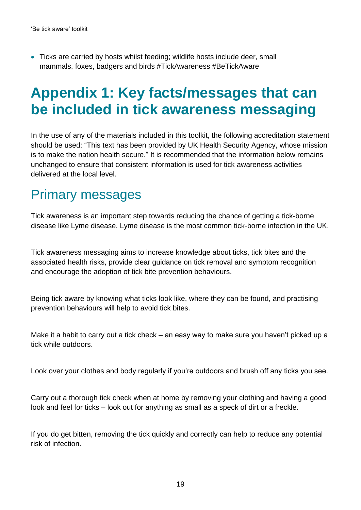• Ticks are carried by hosts whilst feeding; wildlife hosts include deer, small mammals, foxes, badgers and birds #TickAwareness #BeTickAware

## <span id="page-18-0"></span>**Appendix 1: Key facts/messages that can be included in tick awareness messaging**

In the use of any of the materials included in this toolkit, the following accreditation statement should be used: "This text has been provided by UK Health Security Agency, whose mission is to make the nation health secure." It is recommended that the information below remains unchanged to ensure that consistent information is used for tick awareness activities delivered at the local level.

#### <span id="page-18-1"></span>Primary messages

Tick awareness is an important step towards reducing the chance of getting a tick-borne disease like Lyme disease. Lyme disease is the most common tick-borne infection in the UK.

Tick awareness messaging aims to increase knowledge about ticks, tick bites and the associated health risks, provide clear guidance on tick removal and symptom recognition and encourage the adoption of tick bite prevention behaviours.

Being tick aware by knowing what ticks look like, where they can be found, and practising prevention behaviours will help to avoid tick bites.

Make it a habit to carry out a tick check – an easy way to make sure you haven't picked up a tick while outdoors.

Look over your clothes and body regularly if you're outdoors and brush off any ticks you see.

Carry out a thorough tick check when at home by removing your clothing and having a good look and feel for ticks – look out for anything as small as a speck of dirt or a freckle.

If you do get bitten, removing the tick quickly and correctly can help to reduce any potential risk of infection.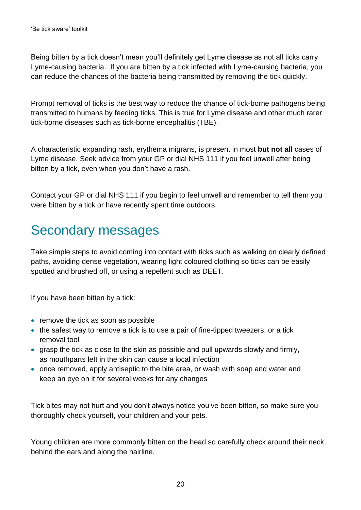Being bitten by a tick doesn't mean you'll definitely get Lyme disease as not all ticks carry Lyme-causing bacteria. If you are bitten by a tick infected with Lyme-causing bacteria, you can reduce the chances of the bacteria being transmitted by removing the tick quickly.

Prompt removal of ticks is the best way to reduce the chance of tick-borne pathogens being transmitted to humans by feeding ticks. This is true for Lyme disease and other much rarer tick-borne diseases such as tick-borne encephalitis (TBE).

A characteristic expanding rash, erythema migrans, is present in most **but not all** cases of Lyme disease. Seek advice from your GP or dial NHS 111 if you feel unwell after being bitten by a tick, even when you don't have a rash.

Contact your GP or dial NHS 111 if you begin to feel unwell and remember to tell them you were bitten by a tick or have recently spent time outdoors.

### <span id="page-19-0"></span>Secondary messages

Take simple steps to avoid coming into contact with ticks such as walking on clearly defined paths, avoiding dense vegetation, wearing light coloured clothing so ticks can be easily spotted and brushed off, or using a repellent such as DEET.

If you have been bitten by a tick:

- remove the tick as soon as possible
- the safest way to remove a tick is to use a pair of fine-tipped tweezers, or a tick removal tool
- grasp the tick as close to the skin as possible and pull upwards slowly and firmly, as mouthparts left in the skin can cause a local infection
- once removed, apply antiseptic to the bite area, or wash with soap and water and keep an eye on it for several weeks for any changes

Tick bites may not hurt and you don't always notice you've been bitten, so make sure you thoroughly check yourself, your children and your pets.

Young children are more commonly bitten on the head so carefully check around their neck, behind the ears and along the hairline.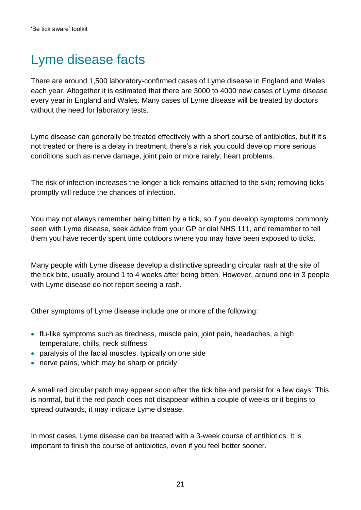### <span id="page-20-0"></span>Lyme disease facts

There are around 1,500 laboratory-confirmed cases of Lyme disease in England and Wales each year. Altogether it is estimated that there are 3000 to 4000 new cases of Lyme disease every year in England and Wales. Many cases of Lyme disease will be treated by doctors without the need for laboratory tests.

Lyme disease can generally be treated effectively with a short course of antibiotics, but if it's not treated or there is a delay in treatment, there's a risk you could develop more serious conditions such as nerve damage, joint pain or more rarely, heart problems.

The risk of infection increases the longer a tick remains attached to the skin; removing ticks promptly will reduce the chances of infection.

You may not always remember being bitten by a tick, so if you develop symptoms commonly seen with Lyme disease, seek advice from your GP or dial NHS 111, and remember to tell them you have recently spent time outdoors where you may have been exposed to ticks.

Many people with Lyme disease develop a distinctive spreading circular rash at the site of the tick bite, usually around 1 to 4 weeks after being bitten. However, around one in 3 people with Lyme disease do not report seeing a rash.

Other symptoms of Lyme disease include one or more of the following:

- flu-like symptoms such as tiredness, muscle pain, joint pain, headaches, a high temperature, chills, neck stiffness
- paralysis of the facial muscles, typically on one side
- nerve pains, which may be sharp or prickly

A small red circular patch may appear soon after the tick bite and persist for a few days. This is normal, but if the red patch does not disappear within a couple of weeks or it begins to spread outwards, it may indicate Lyme disease.

In most cases, Lyme disease can be treated with a 3-week course of antibiotics. It is important to finish the course of antibiotics, even if you feel better sooner.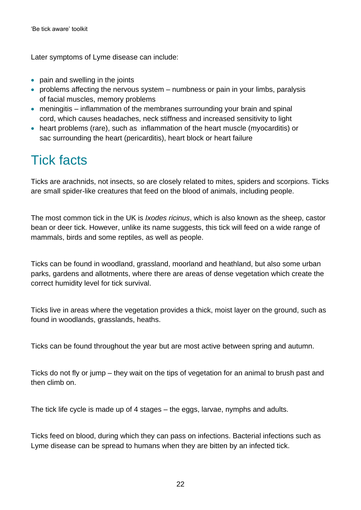Later symptoms of Lyme disease can include:

- pain and swelling in the joints
- problems affecting the nervous system numbness or pain in your limbs, paralysis of facial muscles, memory problems
- meningitis inflammation of the membranes surrounding your brain and spinal cord, which causes headaches, neck stiffness and increased sensitivity to light
- heart problems (rare), such as inflammation of the heart muscle (myocarditis) or sac surrounding the heart (pericarditis), heart block or heart failure

### <span id="page-21-0"></span>Tick facts

Ticks are arachnids, not insects, so are closely related to mites, spiders and scorpions. Ticks are small spider-like creatures that feed on the blood of animals, including people.

The most common tick in the UK is *Ixodes ricinus*, which is also known as the sheep, castor bean or deer tick. However, unlike its name suggests, this tick will feed on a wide range of mammals, birds and some reptiles, as well as people.

Ticks can be found in woodland, grassland, moorland and heathland, but also some urban parks, gardens and allotments, where there are areas of dense vegetation which create the correct humidity level for tick survival.

Ticks live in areas where the vegetation provides a thick, moist layer on the ground, such as found in woodlands, grasslands, heaths.

Ticks can be found throughout the year but are most active between spring and autumn.

Ticks do not fly or jump – they wait on the tips of vegetation for an animal to brush past and then climb on.

The tick life cycle is made up of 4 stages – the eggs, larvae, nymphs and adults.

Ticks feed on blood, during which they can pass on infections. Bacterial infections such as Lyme disease can be spread to humans when they are bitten by an infected tick.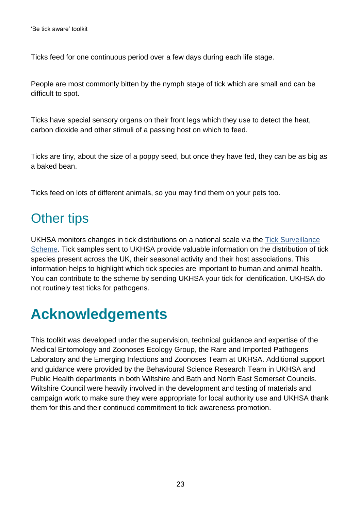Ticks feed for one continuous period over a few days during each life stage.

People are most commonly bitten by the nymph stage of tick which are small and can be difficult to spot.

Ticks have special sensory organs on their front legs which they use to detect the heat, carbon dioxide and other stimuli of a passing host on which to feed.

Ticks are tiny, about the size of a poppy seed, but once they have fed, they can be as big as a baked bean.

Ticks feed on lots of different animals, so you may find them on your pets too.

#### <span id="page-22-0"></span>Other tips

UKHSA monitors changes in tick distributions on a national scale via the [Tick Surveillance](https://www.gov.uk/guidance/tick-surveillance-scheme)  [Scheme.](https://www.gov.uk/guidance/tick-surveillance-scheme) Tick samples sent to UKHSA provide valuable information on the distribution of tick species present across the UK, their seasonal activity and their host associations. This information helps to highlight which tick species are important to human and animal health. You can contribute to the scheme by sending UKHSA your tick for identification. UKHSA do not routinely test ticks for pathogens.

## <span id="page-22-1"></span>**Acknowledgements**

This toolkit was developed under the supervision, technical guidance and expertise of the Medical Entomology and Zoonoses Ecology Group, the Rare and Imported Pathogens Laboratory and the Emerging Infections and Zoonoses Team at UKHSA. Additional support and guidance were provided by the Behavioural Science Research Team in UKHSA and Public Health departments in both Wiltshire and Bath and North East Somerset Councils. Wiltshire Council were heavily involved in the development and testing of materials and campaign work to make sure they were appropriate for local authority use and UKHSA thank them for this and their continued commitment to tick awareness promotion.